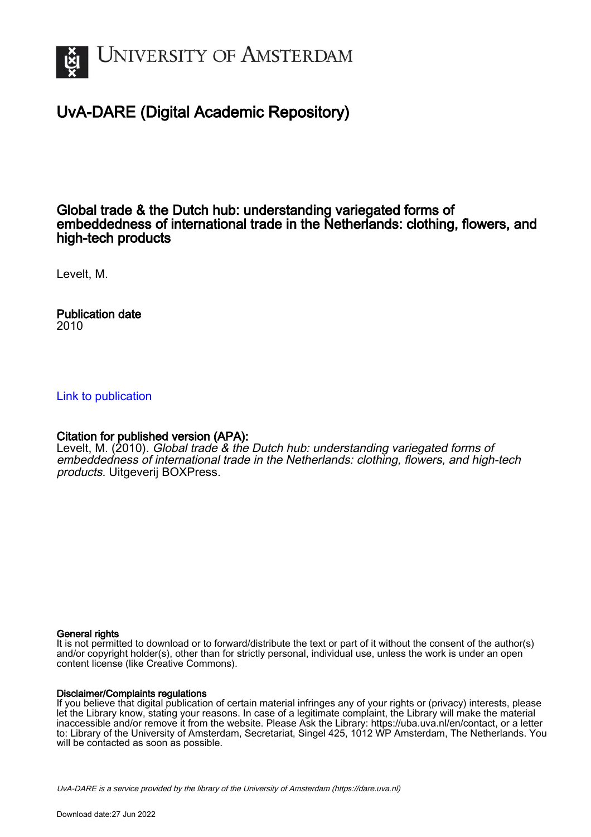

# UvA-DARE (Digital Academic Repository)

## Global trade & the Dutch hub: understanding variegated forms of embeddedness of international trade in the Netherlands: clothing, flowers, and high-tech products

Levelt, M.

Publication date 2010

[Link to publication](https://dare.uva.nl/personal/pure/en/publications/global-trade--the-dutch-hub-understanding-variegated-forms-of-embeddedness-of-international-trade-in-the-netherlands-clothing-flowers-and-hightech-products(9beb1200-09e9-4755-bc6e-01c28d01f669).html)

### Citation for published version (APA):

Levelt, M. (2010). Global trade & the Dutch hub: understanding variegated forms of embeddedness of international trade in the Netherlands: clothing, flowers, and high-tech products. Uitgeverij BOXPress.

### General rights

It is not permitted to download or to forward/distribute the text or part of it without the consent of the author(s) and/or copyright holder(s), other than for strictly personal, individual use, unless the work is under an open content license (like Creative Commons).

### Disclaimer/Complaints regulations

If you believe that digital publication of certain material infringes any of your rights or (privacy) interests, please let the Library know, stating your reasons. In case of a legitimate complaint, the Library will make the material inaccessible and/or remove it from the website. Please Ask the Library: https://uba.uva.nl/en/contact, or a letter to: Library of the University of Amsterdam, Secretariat, Singel 425, 1012 WP Amsterdam, The Netherlands. You will be contacted as soon as possible.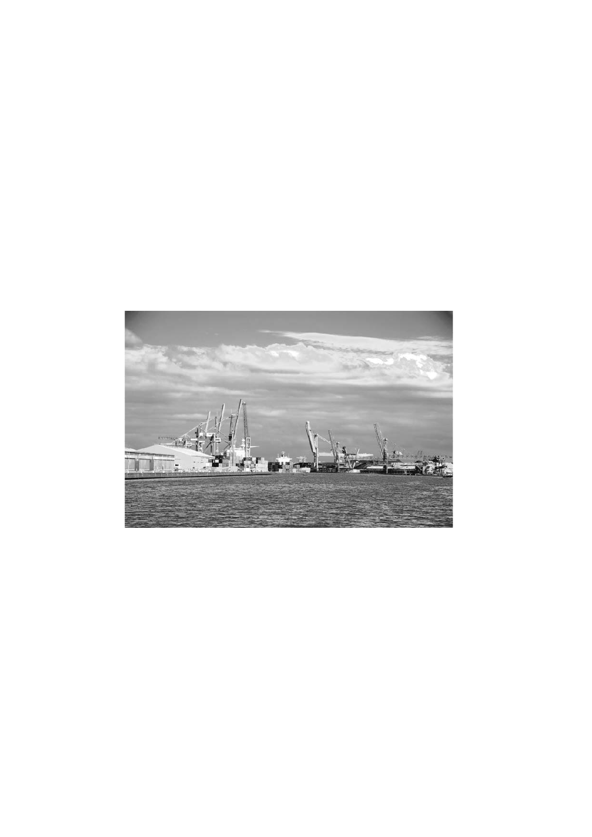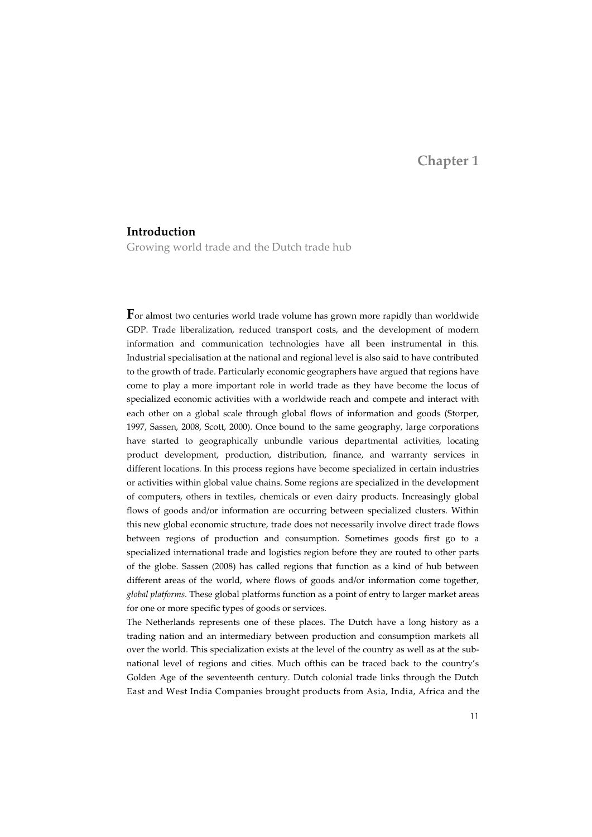# **Chapter 1**

### **Introduction-**

Growing world trade and the Dutch trade hub

 ${\bf F}$ or almost two-centuries world trade-volume-has grown-more-rapidly-than-worldwide-GDP. Trade liberalization, reduced transport costs, and the development of modern information and communication technologies have all been instrumental in this. Industrial specialisation at the national and regional level is also said to have contributed to the growth of trade. Particularly economic geographers have argued that regions have come to play a more important role in world trade as they have become the locus of specialized economic activities with a worldwide reach and compete and interact with each other on a global scale through global flows of information and goods (Storper, 1997, Sassen, 2008, Scott, 2000). Once bound to the same geography, large corporations have started to geographically unbundle various departmental activities, locating product development, production, distribution, finance, and warranty services in different locations. In this process regions have become specialized in certain industries or activities within global value chains. Some regions are specialized in the development of-computers, others in textiles, chemicals or even dairy products. Increasingly global flows of goods and/or information are occurring between specialized clusters. Within this new global economic structure, trade does not necessarily involve direct trade flows between regions of production and consumption. Sometimes goods first go to a specialized international trade and logistics region before they are routed to other parts of the globe. Sassen (2008) has called regions that function as a kind of hub between different areas of the world, where flows of goods and/or information come together, global platforms. These global platforms function as a point of entry to larger market areas for one or more specific types of goods or services.

The Netherlands represents one of these places. The Dutch have a long history as a trading nation and an intermediary between production and consumption markets all over the world. This specialization exists at the level of the country as well as at the subnational level of regions and cities. Much ofthis can be traced back to the country's Golden-Age of the seventeenth century. Dutch colonial trade links through the Dutch-East and West India Companies brought products from Asia, India, Africa and the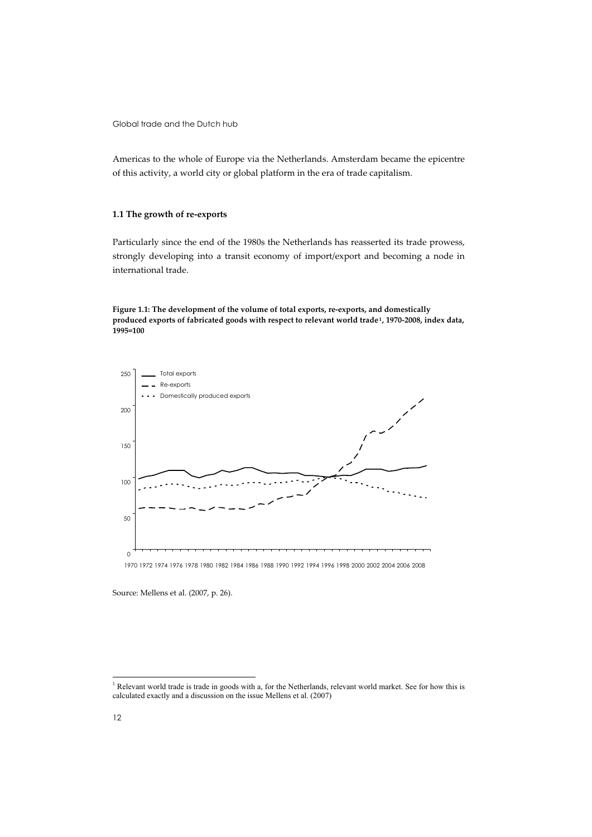Americas to the whole of Europe via the Netherlands. Amsterdam became the epicentre of this activity, a world city or global platform in the era of trade capitalism.

### **1.1-The-growth-of-reexports-**

Particularly since the end of the 1980s the Netherlands has reasserted its trade prowess, strongly developing into a transit economy of import/export and becoming a node in international trade.

**Figure 1.1: The development of the volume of total exports, re-exports, and domestically produced-exports-of-fabricated-goods-with-respect-to-relevant-world-trade1,-19702008,-index-data,- 1995=100-**



Source: Mellens et al. (2007, p. 26).

Relevant world trade is trade in goods with a, for the Netherlands, relevant world market. See for how this is calculated exactly and a discussion on the issue Mellens et al. (2007)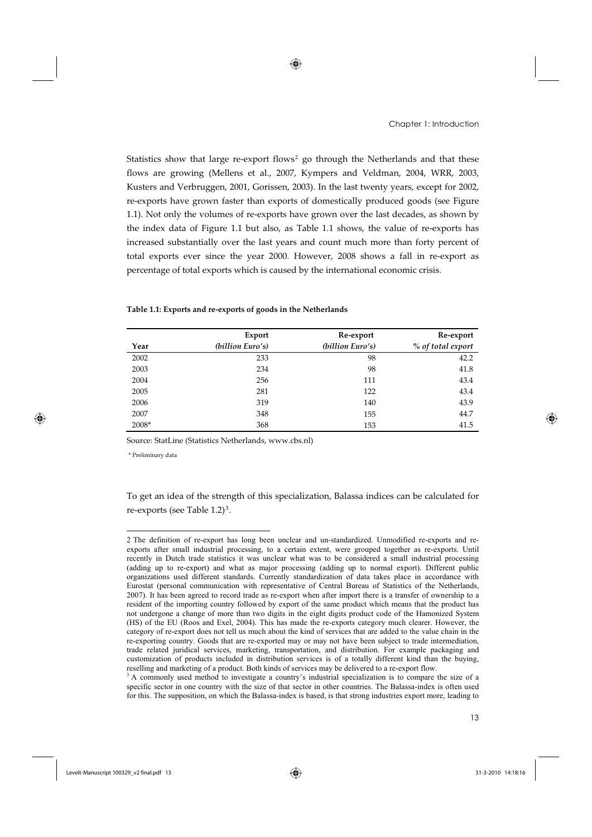Statistics show that large re-export flows<sup>2</sup> go through the Netherlands and that these flows are growing (Mellens et al., 2007, Kympers and Veldman, 2004, WRR, 2003, Kusters and Verbruggen, 2001, Gorissen, 2003). In the last twenty years, except for 2002, re-exports have grown faster than exports of domestically produced goods (see Figure 1.1). Not only the volumes of re-exports have grown over the last decades, as shown by the index data of Figure 1.1 but also, as Table 1.1 shows, the value of re-exports has increased substantially over the last years and count much more than forty percent of total exports ever since the year 2000. However, 2008 shows a fall in re-export as percentage of total exports which is caused by the international economic crisis.

|       | Export           | Re-export        | Re-export         |
|-------|------------------|------------------|-------------------|
| Year  | (billion Euro's) | (billion Euro's) | % of total export |
| 2002  | 233              | 98               | 42.2              |
| 2003  | 234              | 98               | 41.8              |
| 2004  | 256              | 111              | 43.4              |
| 2005  | 281              | 122              | 43.4              |
| 2006  | 319              | 140              | 43.9              |
| 2007  | 348              | 155              | 44.7              |
| 2008* | 368              | 153              | 41.5              |

 $\bf{T}$ able 1.1: Exports and re-exports of goods in the Netherlands

Source: StatLine (Statistics Netherlands, www.cbs.nl)

\* Preliminary data

---------------------------------------- ------------------------

To get an idea of the strength of this specialization, Balassa indices can be calculated for re-exports (see Table 1.2)<sup>3</sup>.

<sup>2</sup> The definition of re-export has long been unclear and un-standardized. Unmodified re-exports and reexports after small industrial processing, to a certain extent, were grouped together as re-exports. Until recently in Dutch trade statistics it was unclear what was to be considered a small industrial processing (adding up to re-export) and what as major processing (adding up to normal export). Different public organizations used different standards. Currently standardization of data takes place in accordance with Eurostat (personal communication with representative of Central Bureau of Statistics of the Netherlands, 2007). It has been agreed to record trade as re-export when after import there is a transfer of ownership to a resident of the importing country followed by export of the same product which means that the product has not undergone a change of more than two digits in the eight digits product code of the Hamonized System (HS) of the EU (Roos and Exel, 2004). This has made the re-exports category much clearer. However, the category of re-export does not tell us much about the kind of services that are added to the value chain in the re-exporting country. Goods that are re-exported may or may not have been subject to trade intermediation, trade related juridical services, marketing, transportation, and distribution. For example packaging and customization of products included in distribution services is of a totally different kind than the buying, reselling and marketing of a product. Both kinds of services may be delivered to a re-export flow. 3

<sup>&</sup>lt;sup>3</sup> A commonly used method to investigate a country's industrial specialization is to compare the size of a specific sector in one country with the size of that sector in other countries. The Balassa-index is often used for this. The supposition, on which the Balassa-index is based, is that strong industries export more, leading to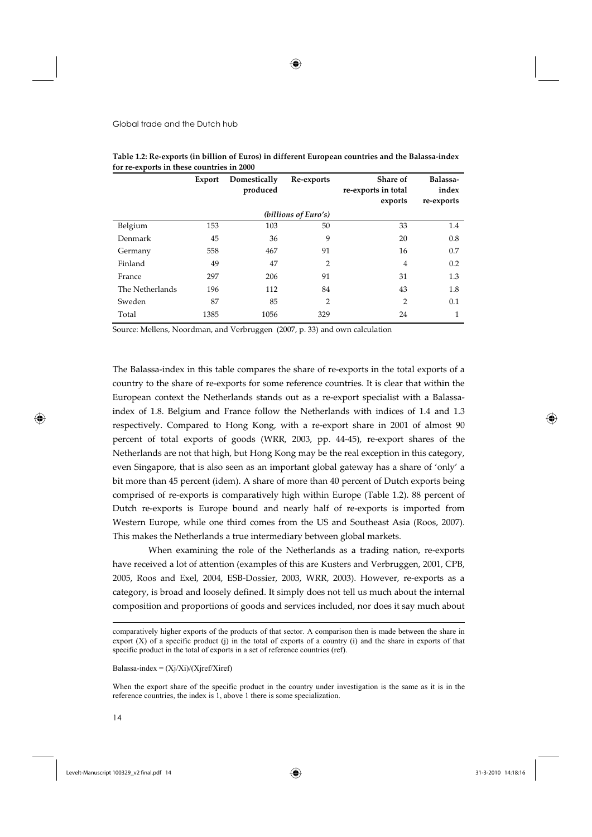|                 | Export | Domestically | Re-exports     | Share of            | Balassa-   |
|-----------------|--------|--------------|----------------|---------------------|------------|
|                 |        | produced     |                | re-exports in total | index      |
|                 |        |              |                | exports             | re-exports |
|                 |        |              |                |                     |            |
| Belgium         | 153    | 103          | 50             | 33                  | 1.4        |
| Denmark         | 45     | 36           | 9              | 20                  | 0.8        |
| Germany         | 558    | 467          | 91             | 16                  | 0.7        |
| Finland         | 49     | 47           | 2              | 4                   | 0.2        |
| France          | 297    | 206          | 91             | 31                  | 1.3        |
| The Netherlands | 196    | 112          | 84             | 43                  | 1.8        |
| Sweden          | 87     | 85           | $\overline{2}$ | $\overline{2}$      | 0.1        |
| Total           | 1385   | 1056         | 329            | 24                  | 1          |

 $\bf{T}$ able 1.2: Re-exports (in billion of Euros) in different European countries and the Balassa-index **for re-exports in these countries in 2000** 

Source: Mellens, Noordman, and Verbruggen (2007, p. 33) and own calculation

The Balassa-index in this table compares the share of re-exports in the total exports of a country to the share of re-exports for some reference countries. It is clear that within the European context the Netherlands stands out as a re-export specialist with a Balassaindex of 1.8. Belgium and France follow the Netherlands with indices of 1.4 and 1.3 respectively. Compared to Hong Kong, with a re-export share in 2001 of almost 90 percent of total exports of goods (WRR, 2003, pp. 44-45), re-export shares of the Netherlands are not that high, but Hong Kong may be the real exception in this category, even Singapore, that is also seen as an important global gateway has a share of 'only' a bit more than 45 percent (idem). A share of more than 40 percent of Dutch exports being comprised of re-exports is comparatively high within Europe (Table 1.2). 88 percent of Dutch re-exports is Europe bound and nearly half of re-exports is imported from Western Europe, while one third comes from the US and Southeast Asia (Roos, 2007). This makes the Netherlands a true intermediary between global markets.

When examining the role of the Netherlands as a trading nation, re-exports have received a lot of attention (examples of this are Kusters and Verbruggen, 2001, CPB, 2005, Roos and Exel, 2004, ESB-Dossier, 2003, WRR, 2003). However, re-exports as a category, is broad and loosely defined. It simply does not tell us much about the internal composition and proportions of goods and services included, nor does it say much about

 ---------------------------------------- ------------------------------------

Balassa-index = (Xj/Xi)/(Xjref/Xiref)

---------------------------------------- -------------------------------------

<sup>-</sup>-comparatively higher exports of the products of that sector. A comparison then is made between the share in export  $(X)$  of a specific product  $(i)$  in the total of exports of a country  $(i)$  and the share in exports of that specific product in the total of exports in a set of reference countries (ref).

When the export share of the specific product in the country under investigation is the same as it is in the reference countries, the index is 1, above 1 there is some specialization.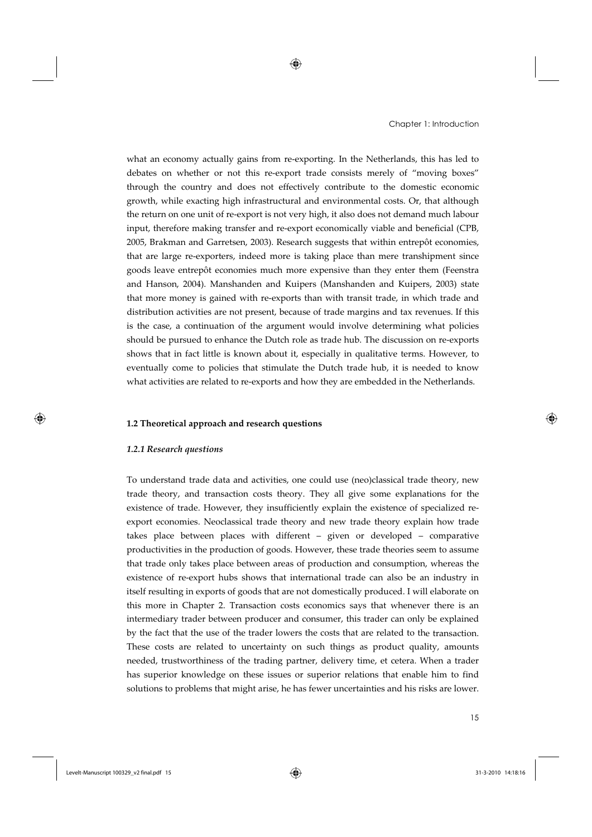what an economy actually gains from re-exporting. In the Netherlands, this has led to debates on whether or not this re-export trade consists merely of "moving boxes" through the country and does not effectively contribute to the domestic economic growth, while exacting high infrastructural and environmental costs. Or, that although the return on one unit of re-export is not very high, it also does not demand much labour input, therefore making transfer and re-export economically viable and beneficial (CPB, 2005, Brakman and Garretsen, 2003). Research suggests that within entrepôt economies, that are large re-exporters, indeed more is taking place than mere transhipment since goods leave entrepôt economies much more expensive than they enter them (Feenstraand Hanson, 2004). Manshanden and Kuipers (Manshanden and Kuipers, 2003) state that more money is gained with re-exports than with transit trade, in which trade and distribution activities are not present, because of trade margins and tax revenues. If this is the case, a continuation of the argument would involve determining what policies should be pursued to enhance the Dutch role as trade hub. The discussion on re-exports shows that in fact little is known about it, especially in qualitative terms. However, to eventually come to policies that stimulate the Dutch trade hub, it is needed to know what activities are related to re-exports and how they are embedded in the Netherlands.

### **1.2-Theoretical-approach-and-research-questions-**

#### *1.2.1-Research-questions-*

To understand trade data and activities, one could use (neo)classical trade theory, new trade theory, and transaction costs theory. They all give some explanations for the existence of trade. However, they insufficiently explain the existence of specialized reexport economies. Neoclassical trade theory and new trade theory explain how trade takes place between places with different – given or developed – comparative productivities in the production of goods. However, these trade theories seem to assume that trade only takes place between areas of production and consumption, whereas the existence of re-export hubs shows that international trade can also be an industry in itself resulting in exports of goods that are not domestically produced. I will elaborate on this more in Chapter 2. Transaction costs economics says that whenever there is an intermediary trader between producer and consumer, this trader can only be explained by the fact that the use of the trader lowers the costs that are related to the transaction. These costs are related to uncertainty on such things as product quality, amounts needed, trustworthiness of the trading partner, delivery time, et cetera. When a trader has superior knowledge on these issues or superior relations that enable him to find solutions to problems that might arise, he has fewer uncertainties and his risks are lower.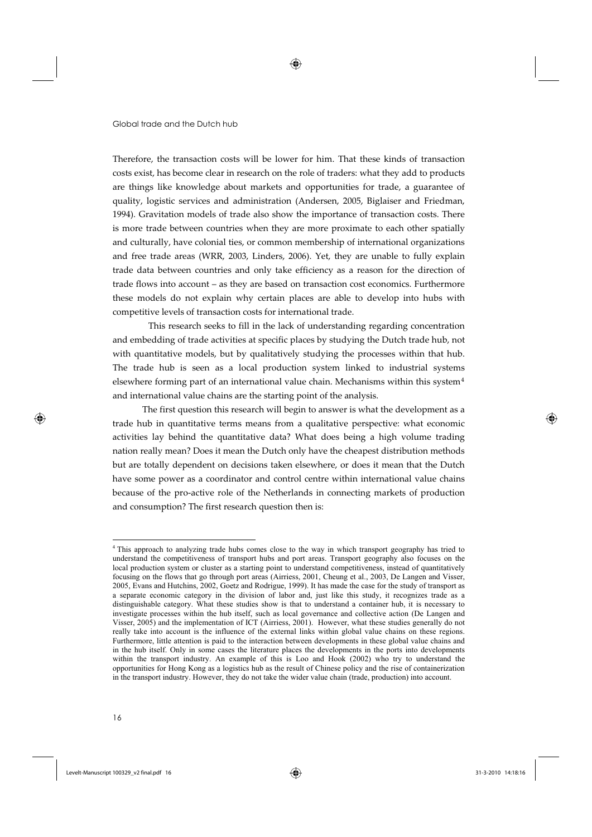Therefore, the transaction costs will be lower for him. That these kinds of transaction costs exist, has become clear in research on the role of traders: what they add to products are things like knowledge about markets and opportunities for trade, a guarantee of quality, logistic services and administration (Andersen, 2005, Biglaiser and Friedman, 1994). Gravitation models of trade also show the importance of transaction costs. There is more trade between countries when they are more proximate to each other spatially and culturally, have colonial ties, or common membership of international organizations and free trade areas (WRR, 2003, Linders, 2006). Yet, they are unable to fully explain trade data between countries and only take efficiency as a reason for the direction of trade flows into account – as they are based on transaction cost economics. Furthermore these models do not explain why certain places are able to develop into hubs with competitive levels of transaction costs for international trade.

This research seeks to fill in the lack of understanding regarding concentration and embedding of trade activities at specific places by studying the Dutch trade hub, not with-quantitative models, but by qualitatively studying the processes within that hub. The trade hub is seen as a local production system linked to industrial systems elsewhere forming part of an international value chain. Mechanisms within this system $^4$ and international value chains are the starting point of the analysis.

The first question this research will begin to answer is what the development as a trade hub in quantitative terms means from a qualitative perspective: what economic activities lay behind the quantitative data? What does being a high volume trading nation really mean? Does it mean the Dutch only have the cheapest distribution methods but are totally dependent on decisions taken elsewhere, or does it mean that the Dutch have some power as a coordinator and control centre within international value chains because of the pro-active role of the Netherlands in connecting markets of production and consumption? The first research question then is:

This approach to analyzing trade hubs comes close to the way in which transport geography has tried to understand the competitiveness of transport hubs and port areas. Transport geography also focuses on the local production system or cluster as a starting point to understand competitiveness, instead of quantitatively focusing on the flows that go through port areas (Airriess, 2001, Cheung et al., 2003, De Langen and Visser, 2005, Evans and Hutchins, 2002, Goetz and Rodrigue, 1999). It has made the case for the study of transport as a separate economic category in the division of labor and, just like this study, it recognizes trade as a distinguishable category. What these studies show is that to understand a container hub, it is necessary to investigate processes within the hub itself, such as local governance and collective action (De Langen and Visser, 2005) and the implementation of ICT (Airriess, 2001). However, what these studies generally do not really take into account is the influence of the external links within global value chains on these regions. Furthermore, little attention is paid to the interaction between developments in these global value chains and in the hub itself. Only in some cases the literature places the developments in the ports into developments within the transport industry. An example of this is Loo and Hook (2002) who try to understand the opportunities for Hong Kong as a logistics hub as the result of Chinese policy and the rise of containerization in the transport industry. However, they do not take the wider value chain (trade, production) into account.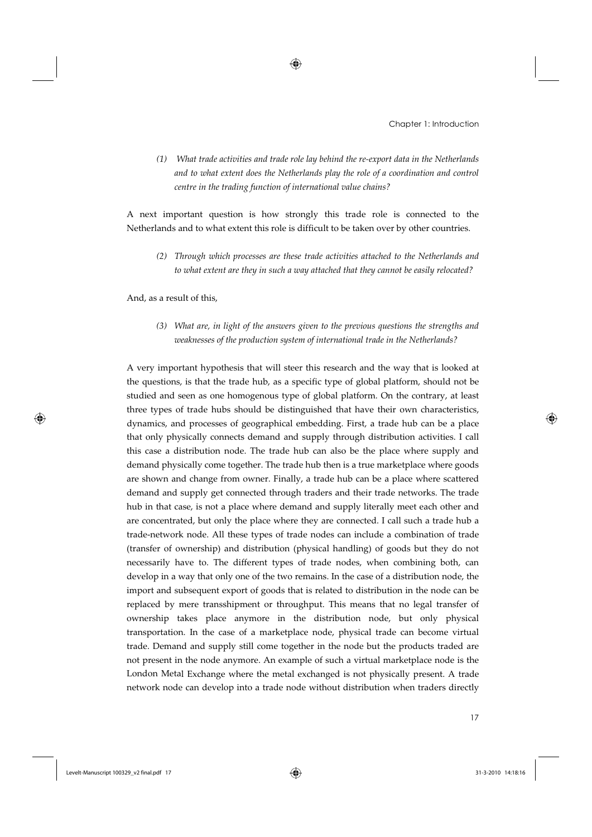$(1)$  What trade activities and trade role lay behind the re-export data in the Netherlands *and-to-what-extent-does-the-Netherlands-play-the-role-of-a-coordination-and-control centre-in-the-trading-function-of-international-value-chains?-*

A next important question is how strongly this trade role is connected to the Netherlands and to what extent this role is difficult to be taken over by other countries.

*(2)- Through-which-processes-are- these- trade-activities-attached- to- the-Netherlands-and to-what-extent-are-they-in-such-a-way-attached-that-they-cannot-be-easily-relocated?-*

And, as a result of this,

*(3)- What-are,-in-light-of-the-answers-given-to-the-previous-questions-the-strengths-and weaknesses-of-the-production-system-of-international-trade-in-the-Netherlands?-*

A very important hypothesis that will steer this research and the way that is looked at the questions, is that the trade hub, as a specific type of global platform, should not be studied and seen as one homogenous type of global platform. On the contrary, at least three types of trade hubs should be distinguished that have their own characteristics, dynamics, and processes of geographical embedding. First, a trade hub can be a place that only physically connects demand and supply through distribution activities. I call this case a distribution node. The trade hub can also be the place where supply and demand physically come together. The trade hub then is a true marketplace where goods are shown and change from owner. Finally, a trade hub can be a place where scattered demand and supply get connected through traders and their trade networks. The trade hub in that case, is not a place where demand and supply literally meet each other and are concentrated, but only the place where they are connected. I call such a trade hub a trade-network node. All these types of trade nodes can include a combination of trade (transfer of ownership) and distribution (physical handling) of goods but they do not necessarily have to. The different types of trade nodes, when combining both, can develop in a way that only one of the two remains. In the case of a distribution node, the import and subsequent export of goods that is related to distribution in the node can be replaced by mere transshipment or throughput. This means that no legal transfer of ownership takes place anymore in the distribution node, but only physical transportation. In the case of a marketplace node, physical trade can become virtual trade. Demand and supply still come together in the node but the products traded are not present in the node anymore. An example of such a virtual marketplace node is the London Metal Exchange where the metal exchanged is not physically present. A trade network node can develop into a trade node without distribution when traders directly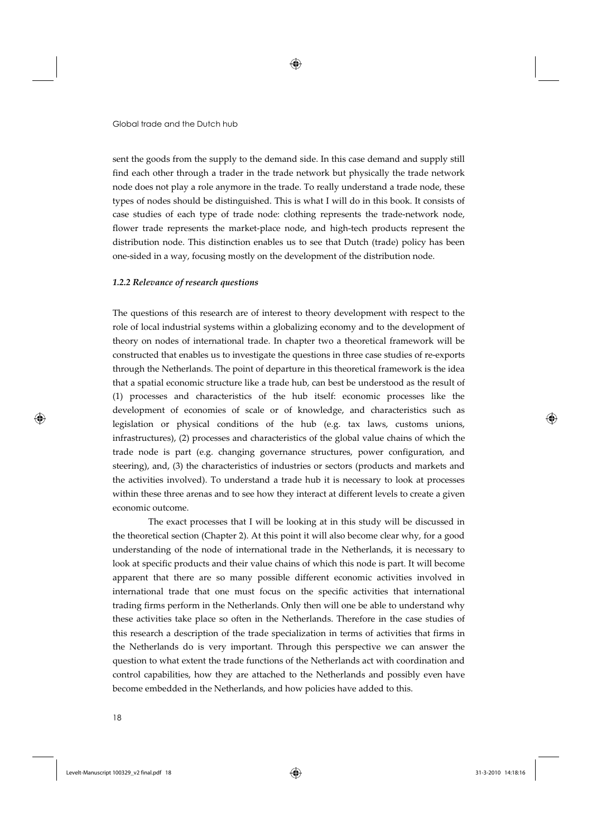sent the goods from the supply to the demand side. In this case demand and supply still find each other through a trader in the trade network but physically the trade network node does not play a role anymore in the trade. To really understand a trade node, these types of nodes should be distinguished. This is what I will do in this book. It consists of case studies of each type of trade node: clothing represents the trade-network node, flower trade represents the market-place node, and high-tech products represent the distribution node. This distinction enables us to see that Dutch (trade) policy has been one-sided in a way, focusing mostly on the development of the distribution node.

#### *1.2.2-Relevance-of-research-questions-*

The questions of this research are of interest to theory development with respect to the role of local industrial systems within a globalizing economy and to the development of theory on nodes of international trade. In chapter two a theoretical framework will be constructed that enables us to investigate the questions in three case studies of re-exports through the Netherlands. The point of departure in this theoretical framework is the ideathat a spatial economic structure like a trade hub, can best be understood as the result of (1) processes and characteristics of the hub itself: economic processes like the development of economies of scale or of knowledge, and characteristics such as legislation or physical conditions of the hub (e.g. tax laws, customs unions, infrastructures), (2) processes and characteristics of the global value chains of which the trade node is part (e.g. changing governance structures, power configuration, and steering), and, (3) the characteristics of industries or sectors (products and markets and the activities involved). To understand a trade hub it is necessary to look at processes within these three arenas and to see how they interact at different levels to create a given economic outcome.

The exact processes that I will be looking at in this study will be discussed in the theoretical section (Chapter 2). At this point it will also become clear why, for a good understanding of the node of international trade in the Netherlands, it is necessary to look at specific products and their value chains of which this node is part. It will become apparent that there are so-many possible different economic activities involved in international trade that one must focus on the specific activities that international trading firms perform in the Netherlands. Only then will one be able to understand why these activities take place so often in the Netherlands. Therefore in the case studies of this research a description of the trade specialization in terms of activities that firms in the Netherlands do is very important. Through this perspective we can answer the question to what extent the trade functions of the Netherlands act with coordination and control-capabilities, how they are attached to the Netherlands and possibly even have become embedded in the Netherlands, and how policies have added to this.